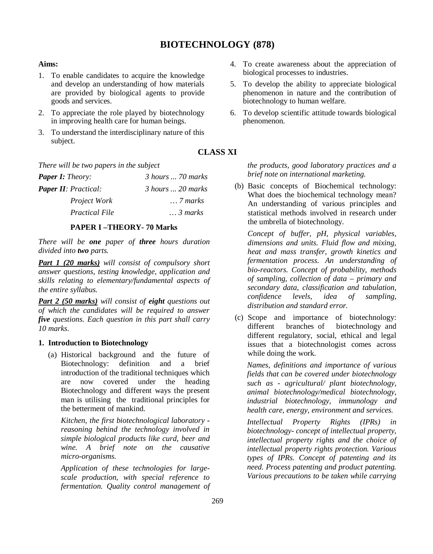# **BIOTECHNOLOGY (878)**

# **Aims:**

- 1. To enable candidates to acquire the knowledge and develop an understanding of how materials are provided by biological agents to provide goods and services.
- 2. To appreciate the role played by biotechnology in improving health care for human beings.
- 3. To understand the interdisciplinary nature of this subject.

*There will be two papers in the subject*

| <b>Paper I:</b> Theory:      | $\beta$ hours $\ldots$ 70 marks |
|------------------------------|---------------------------------|
| <b>Paper II</b> : Practical: | 3 hours  20 marks               |
| <i>Project Work</i>          | $\ldots$ 7 marks                |
| <b>Practical File</b>        | $\ldots$ 3 marks                |

#### **PAPER I –THEORY- 70 Marks**

*There will be one paper of three hours duration divided into two parts.*

*Part 1 (20 marks) will consist of compulsory short answer questions, testing knowledge, application and skills relating to elementary/fundamental aspects of the entire syllabus.*

*Part 2 (50 marks) will consist of eight questions out of which the candidates will be required to answer five questions. Each question in this part shall carry 10 marks.*

#### **1. Introduction to Biotechnology**

(a) Historical background and the future of Biotechnology: definition and a brief introduction of the traditional techniques which are now covered under the heading Biotechnology and different ways the present man is utilising the traditional principles for the betterment of mankind.

*Kitchen, the first biotechnological laboratory reasoning behind the technology involved in simple biological products like curd, beer and wine. A brief note on the causative micro-organisms.*

*Application of these technologies for largescale production, with special reference to fermentation. Quality control management of* 

- 4. To create awareness about the appreciation of biological processes to industries.
- 5. To develop the ability to appreciate biological phenomenon in nature and the contribution of biotechnology to human welfare.
- 6. To develop scientific attitude towards biological phenomenon.

# **CLASS XI**

*the products, good laboratory practices and a brief note on international marketing.*

(b) Basic concepts of Biochemical technology: What does the biochemical technology mean? An understanding of various principles and statistical methods involved in research under the umbrella of biotechnology.

*Concept of buffer, pH, physical variables, dimensions and units. Fluid flow and mixing, heat and mass transfer, growth kinetics and fermentation process. An understanding of bio-reactors. Concept of probability, methods of sampling, collection of data – primary and secondary data, classification and tabulation, confidence levels, idea of sampling, distribution and standard error.*

(c) Scope and importance of biotechnology: different branches of biotechnology and different regulatory, social, ethical and legal issues that a biotechnologist comes across while doing the work.

*Names, definitions and importance of various fields that can be covered under biotechnology such as - agricultural/ plant biotechnology, animal biotechnology/medical biotechnology, industrial biotechnology, immunology and health care, energy, environment and services.*

*Intellectual Property Rights (IPRs) in biotechnology- concept of intellectual property, intellectual property rights and the choice of intellectual property rights protection. Various types of IPRs. Concept of patenting and its need. Process patenting and product patenting. Various precautions to be taken while carrying*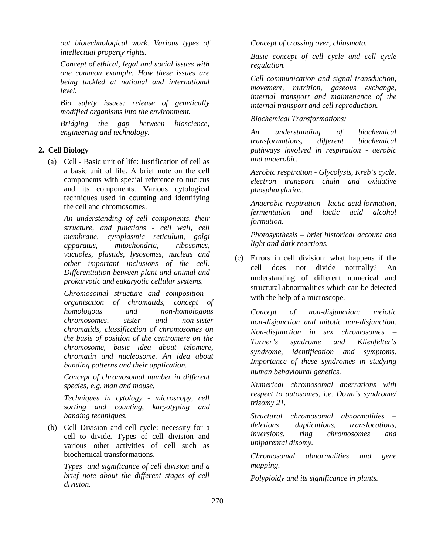*out biotechnological work. Various types of intellectual property rights.* 

*Concept of ethical, legal and social issues with one common example. How these issues are being tackled at national and international level.*

*Bio safety issues: release of genetically modified organisms into the environment.*

*Bridging the gap between bioscience, engineering and technology.*

# **2. Cell Biology**

(a) Cell - Basic unit of life: Justification of cell as a basic unit of life. A brief note on the cell components with special reference to nucleus and its components. Various cytological techniques used in counting and identifying the cell and chromosomes.

*An understanding of cell components, their structure, and functions - cell wall, cell membrane, cytoplasmic reticulum, golgi apparatus, mitochondria, ribosomes, vacuoles, plastids, lysosomes, nucleus and other important inclusions of the cell. Differentiation between plant and animal and prokaryotic and eukaryotic cellular systems.*

*Chromosomal structure and composition – organisation of chromatids, concept of homologous and non-homologous chromosomes, sister and non-sister chromatids, classification of chromosomes on the basis of position of the centromere on the chromosome, basic idea about telomere, chromatin and nucleosome. An idea about banding patterns and their application.*

*Concept of chromosomal number in different species, e.g. man and mouse.*

*Techniques in cytology - microscopy, cell sorting and counting, karyotyping and banding techniques.*

(b) Cell Division and cell cycle: necessity for a cell to divide. Types of cell division and various other activities of cell such as biochemical transformations.

*Types and significance of cell division and a brief note about the different stages of cell division.*

*Concept of crossing over, chiasmata.*

*Basic concept of cell cycle and cell cycle regulation.*

*Cell communication and signal transduction, movement, nutrition, gaseous exchange, internal transport and maintenance of the internal transport and cell reproduction.*

*Biochemical Transformations:*

*An understanding of biochemical transformations, different biochemical pathways involved in respiration - aerobic and anaerobic.*

*Aerobic respiration - Glycolysis, Kreb's cycle, electron transport chain and oxidative phosphorylation.*

*Anaerobic respiration - lactic acid formation, fermentation and lactic acid alcohol formation.* 

*Photosynthesis – brief historical account and light and dark reactions.*

(c) Errors in cell division: what happens if the cell does not divide normally? An understanding of different numerical and structural abnormalities which can be detected with the help of a microscope.

*Concept of non-disjunction: meiotic non-disjunction and mitotic non-disjunction. Non-disjunction in sex chromosomes – Turner's syndrome and Klienfelter's syndrome, identification and symptoms. Importance of these syndromes in studying human behavioural genetics.*

*Numerical chromosomal aberrations with respect to autosomes, i.e. Down's syndrome/ trisomy 21.*

*Structural chromosomal abnormalities – deletions, duplications, translocations, inversions, ring chromosomes and uniparental disomy.*

*Chromosomal abnormalities and gene mapping.*

*Polyploidy and its significance in plants.*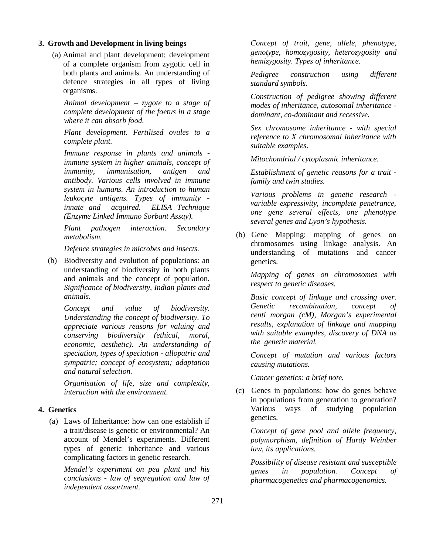#### **3. Growth and Development in living beings**

(a) Animal and plant development: development of a complete organism from zygotic cell in both plants and animals. An understanding of defence strategies in all types of living organisms.

*Animal development – zygote to a stage of complete development of the foetus in a stage where it can absorb food.* 

*Plant development. Fertilised ovules to a complete plant.*

*Immune response in plants and animals immune system in higher animals, concept of immunity, immunisation, antigen and antibody. Various cells involved in immune system in humans. An introduction to human leukocyte antigens. Types of immunity innate and acquired. ELISA Technique (Enzyme Linked Immuno Sorbant Assay).*

*Plant pathogen interaction. Secondary metabolism.* 

*Defence strategies in microbes and insects.*

(b) Biodiversity and evolution of populations: an understanding of biodiversity in both plants and animals and the concept of population. *Significance of biodiversity, Indian plants and animals.*

*Concept and value of biodiversity. Understanding the concept of biodiversity. To appreciate various reasons for valuing and conserving biodiversity (ethical, moral, economic, aesthetic). An understanding of speciation, types of speciation - allopatric and sympatric; concept of ecosystem; adaptation and natural selection.*

*Organisation of life, size and complexity, interaction with the environment.*

### **4. Genetics**

(a) Laws of Inheritance: how can one establish if a trait/disease is genetic or environmental? An account of Mendel's experiments. Different types of genetic inheritance and various complicating factors in genetic research.

*Mendel's experiment on pea plant and his conclusions - law of segregation and law of independent assortment.*

*Concept of trait, gene, allele, phenotype, genotype, homozygosity, heterozygosity and hemizygosity. Types of inheritance.*

*Pedigree construction using different standard symbols.*

*Construction of pedigree showing different modes of inheritance, autosomal inheritance dominant, co-dominant and recessive.*

*Sex chromosome inheritance - with special reference to X chromosomal inheritance with suitable examples.* 

*Mitochondrial / cytoplasmic inheritance.*

*Establishment of genetic reasons for a trait family and twin studies.*

*Various problems in genetic research variable expressivity, incomplete penetrance, one gene several effects, one phenotype several genes and Lyon's hypothesis.*

(b) Gene Mapping: mapping of genes on chromosomes using linkage analysis. An understanding of mutations and cancer genetics.

*Mapping of genes on chromosomes with respect to genetic diseases.*

*Basic concept of linkage and crossing over. Genetic recombination, concept of centi morgan (cM), Morgan's experimental results, explanation of linkage and mapping with suitable examples, discovery of DNA as the genetic material.*

*Concept of mutation and various factors causing mutations.*

*Cancer genetics: a brief note.*

(c) Genes in populations: how do genes behave in populations from generation to generation? Various ways of studying population genetics.

*Concept of gene pool and allele frequency, polymorphism, definition of Hardy Weinber law, its applications.*

*Possibility of disease resistant and susceptible genes in population. Concept of pharmacogenetics and pharmacogenomics.*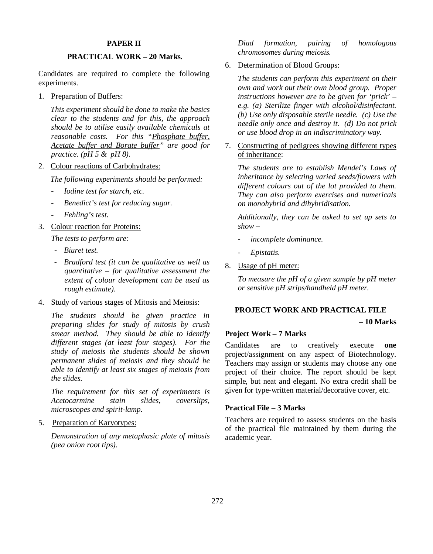### **PAPER II**

# **PRACTICAL WORK – 20 Marks***.*

Candidates are required to complete the following experiments.

1. Preparation of Buffers:

*This experiment should be done to make the basics clear to the students and for this, the approach should be to utilise easily available chemicals at reasonable costs. For this "Phosphate buffer, Acetate buffer and Borate buffer" are good for practice. (pH 5 & pH 8).*

2. Colour reactions of Carbohydrates:

*The following experiments should be performed:*

- *<i>Iodine test for starch, etc.*
- *Benedict's test for reducing sugar.*
- *- Fehling's test.*
- 3. Colour reaction for Proteins:

*The tests to perform are:*

- *- Biuret test.*
- *Bradford test (it can be qualitative as well as quantitative – for qualitative assessment the extent of colour development can be used as rough estimate).*
- 4. Study of various stages of Mitosis and Meiosis:

*The students should be given practice in preparing slides for study of mitosis by crush smear method. They should be able to identify different stages (at least four stages). For the study of meiosis the students should be shown permanent slides of meiosis and they should be able to identify at least six stages of meiosis from the slides.*

*The requirement for this set of experiments is Acetocarmine stain slides, coverslips, microscopes and spirit-lamp.*

5. Preparation of Karyotypes:

*Demonstration of any metaphasic plate of mitosis (pea onion root tips).*

*Diad formation, pairing of homologous chromosomes during meiosis.*

6. Determination of Blood Groups:

*The students can perform this experiment on their own and work out their own blood group. Proper instructions however are to be given for 'prick' – e.g. (a) Sterilize finger with alcohol/disinfectant. (b) Use only disposable sterile needle. (c) Use the needle only once and destroy it. (d) Do not prick or use blood drop in an indiscriminatory way.* 

7. Constructing of pedigrees showing different types of inheritance:

*The students are to establish Mendel's Laws of inheritance by selecting varied seeds/flowers with different colours out of the lot provided to them. They can also perform exercises and numericals on monohybrid and dihybridisation.* 

*Additionally, they can be asked to set up sets to show –*

- *incomplete dominance.*
- *Epistatis.*
- 8. Usage of pH meter:

*To measure the pH of a given sample by pH meter or sensitive pH strips/handheld pH meter.*

#### **PROJECT WORK AND PRACTICAL FILE**

**– 10 Marks**

# **Project Work – 7 Marks**

Candidates are to creatively execute **one** project/assignment on any aspect of Biotechnology. Teachers may assign or students may choose any one project of their choice. The report should be kept simple, but neat and elegant. No extra credit shall be given for type-written material/decorative cover, etc.

#### **Practical File – 3 Marks**

Teachers are required to assess students on the basis of the practical file maintained by them during the academic year.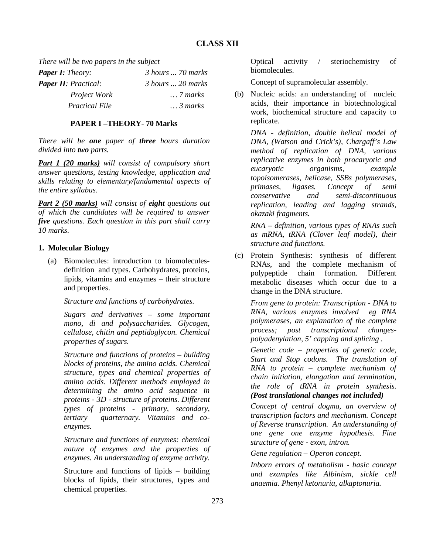*There will be two papers in the subject*

| <b>Paper I:</b> Theory:      | 3 hours  70 marks |
|------------------------------|-------------------|
| <b>Paper II</b> : Practical: | 3 hours  20 marks |
| <i>Project Work</i>          | $\ldots$ 7 marks  |
| <i>Practical File</i>        | $\ldots$ 3 marks  |

# **PAPER I –THEORY- 70 Marks**

*There will be one paper of three hours duration divided into two parts.*

*Part 1 (20 marks) will consist of compulsory short answer questions, testing knowledge, application and skills relating to elementary/fundamental aspects of the entire syllabus.*

*Part 2 (50 marks) will consist of eight questions out of which the candidates will be required to answer five questions. Each question in this part shall carry 10 marks.*

# **1. Molecular Biology**

(a) Biomolecules: introduction to biomoleculesdefinition and types. Carbohydrates, proteins, lipids, vitamins and enzymes – their structure and properties.

*Structure and functions of carbohydrates.*

*Sugars and derivatives – some important mono, di and polysaccharides. Glycogen, cellulose, chitin and peptidoglycon. Chemical properties of sugars.*

*Structure and functions of proteins – building blocks of proteins, the amino acids. Chemical structure, types and chemical properties of amino acids. Different methods employed in determining the amino acid sequence in proteins - 3D - structure of proteins. Different types of proteins - primary, secondary, tertiary quarternary. Vitamins and coenzymes.*

*Structure and functions of enzymes: chemical nature of enzymes and the properties of enzymes. An understanding of enzyme activity.* 

Structure and functions of lipids – building blocks of lipids, their structures, types and chemical properties.

Optical activity / steriochemistry of biomolecules.

Concept of supramolecular assembly.

(b) Nucleic acids: an understanding of nucleic acids, their importance in biotechnological work, biochemical structure and capacity to replicate.

*DNA - definition, double helical model of DNA, (Watson and Crick's), Chargaff's Law method of replication of DNA, various replicative enzymes in both procaryotic and eucaryotic organisms, example topoisomerases, helicase, SSBs polymerases, primases, ligases. Concept of semi conservative and semi-discontinuous replication, leading and lagging strands, okazaki fragments.*

*RNA – definition, various types of RNAs such as mRNA, tRNA (Clover leaf model), their structure and functions.*

(c) Protein Synthesis: synthesis of different RNAs, and the complete mechanism of polypeptide chain formation. Different metabolic diseases which occur due to a change in the DNA structure.

*From gene to protein: Transcription - DNA to RNA, various enzymes involved eg RNA polymerases, an explanation of the complete process; post transcriptional changespolyadenylation, 5' capping and splicing .*

*Genetic code – properties of genetic code, Start and Stop codons. The translation of RNA to protein – complete mechanism of chain initiation, elongation and termination, the role of tRNA in protein synthesis. (Post translational changes not included)*

*Concept of central dogma, an overview of transcription factors and mechanism. Concept of Reverse transcription. An understanding of one gene one enzyme hypothesis. Fine structure of gene - exon, intron.*

*Gene regulation – Operon concept.*

*Inborn errors of metabolism - basic concept and examples like Albinism, sickle cell anaemia. Phenyl ketonuria, alkaptonuria.*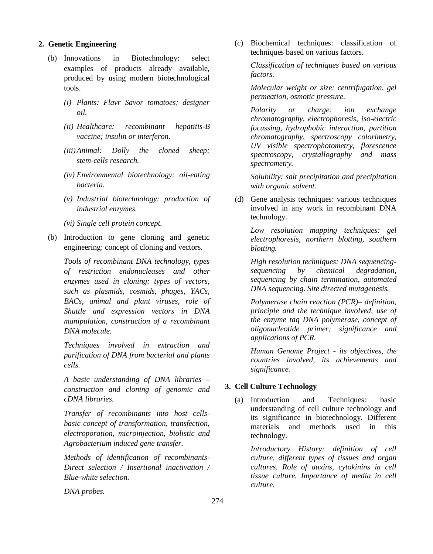#### **2. Genetic Engineering**

- (b) Innovations in Biotechnology: select examples of products already available, produced by using modern biotechnological tools.
	- *(i) Plants: Flavr Savor tomatoes; designer oil.*
	- *(ii) Healthcare: recombinant hepatitis-B vaccine; insulin or interferon.*
	- *(iii)Animal: Dolly the cloned sheep; stem-cells research.*
	- *(iv) Environmental biotechnology: oil-eating bacteria.*
	- *(v) Industrial biotechnology: production of industrial enzymes.*
	- *(vi) Single cell protein concept.*
- (b) Introduction to gene cloning and genetic engineering: concept of cloning and vectors.

*Tools of recombinant DNA technology, types of restriction endonucleases and other enzymes used in cloning: types of vectors, such as plasmids, cosmids, phages, YACs, BACs, animal and plant viruses, role of Shuttle and expression vectors in DNA manipulation, construction of a recombinant DNA molecule.* 

*Techniques involved in extraction and purification of DNA from bacterial and plants cells.* 

*A basic understanding of DNA libraries – construction and cloning of genomic and cDNA libraries.*

*Transfer of recombinants into host cellsbasic concept of transformation, transfection, electroporation, microinjection, biolistic and Agrobacterium induced gene transfer.*

*Methods of identification of recombinants-Direct selection / Insertional inactivation / Blue-white selection.* 

*DNA probes.*

(c) Biochemical techniques: classification of techniques based on various factors.

*Classification of techniques based on various factors.*

*Molecular weight or size: centrifugation, gel permeation, osmotic pressure.* 

*Polarity or charge: ion exchange chromatography, electrophoresis, iso-electric focussing, hydrophobic interaction, partition chromatography, spectroscopy colorimetry, UV visible spectrophotometry, florescence spectroscopy, crystallography and mass spectrometry.*

*Solubility: salt precipitation and precipitation with organic solvent.*

(d) Gene analysis techniques: various techniques involved in any work in recombinant DNA technology.

*Low resolution mapping techniques: gel electrophoresis, northern blotting, southern blotting.*

*High resolution techniques: DNA sequencingsequencing by chemical degradation, sequencing by chain termination, automated DNA sequencing. Site directed mutagenesis.*

*Polymerase chain reaction (PCR)– definition, principle and the technique involved, use of the enzyme taq DNA polymerase, concept of oligonucleotide primer; significance and applications of PCR.*

*Human Genome Project - its objectives, the countries involved, its achievements and significance.*

### **3. Cell Culture Technology**

(a) Introduction and Techniques: basic understanding of cell culture technology and its significance in biotechnology. Different materials and methods used in this technology.

*Introductory History: definition of cell culture, different types of tissues and organ cultures. Role of auxins, cytokinins in cell tissue culture. Importance of media in cell culture.*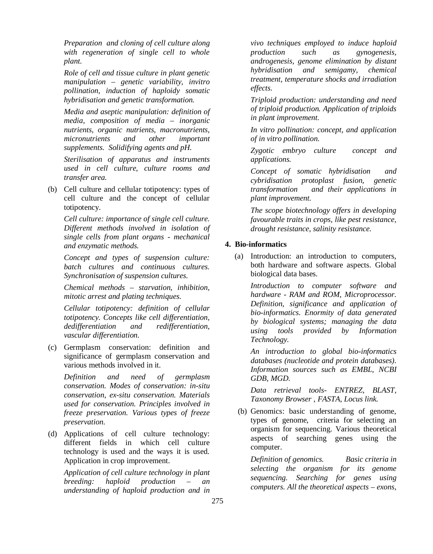*Preparation and cloning of cell culture along with regeneration of single cell to whole plant.*

*Role of cell and tissue culture in plant genetic manipulation – genetic variability, invitro pollination, induction of haploidy somatic hybridisation and genetic transformation.*

*Media and aseptic manipulation: definition of media, composition of media – inorganic nutrients, organic nutrients, macronutrients, micronutrients and other important supplements. Solidifying agents and pH.*

*Sterilisation of apparatus and instruments used in cell culture, culture rooms and transfer area.*

(b) Cell culture and cellular totipotency: types of cell culture and the concept of cellular totipotency.

*Cell culture: importance of single cell culture. Different methods involved in isolation of single cells from plant organs - mechanical and enzymatic methods.*

*Concept and types of suspension culture: batch cultures and continuous cultures. Synchronisation of suspension cultures.* 

*Chemical methods – starvation, inhibition, mitotic arrest and plating techniques.*

*Cellular totipotency: definition of cellular totipotency. Concepts like cell differentiation, dedifferentiation and redifferentiation, vascular differentiation.* 

(c) Germplasm conservation: definition and significance of germplasm conservation and various methods involved in it.

*Definition and need of germplasm conservation. Modes of conservation: in-situ conservation, ex-situ conservation. Materials used for conservation. Principles involved in freeze preservation. Various types of freeze preservation.*

(d) Applications of cell culture technology: different fields in which cell culture technology is used and the ways it is used. Application in crop improvement.

*Application of cell culture technology in plant breeding: haploid production – an understanding of haploid production and in* 

*vivo techniques employed to induce haploid production such as gynogenesis, androgenesis, genome elimination by distant hybridisation and semigamy, chemical treatment, temperature shocks and irradiation effects.* 

*Triploid production: understanding and need of triploid production. Application of triploids in plant improvement.* 

*In vitro pollination: concept, and application of in vitro pollination.* 

*Zygotic embryo culture concept and applications.*

*Concept of somatic hybridisation and cybridisation protoplast fusion, genetic transformation and their applications in plant improvement.*

*The scope biotechnology offers in developing favourable traits in crops, like pest resistance, drought resistance, salinity resistance.*

# **4. Bio-informatics**

(a) Introduction: an introduction to computers, both hardware and software aspects. Global biological data bases.

*Introduction to computer software and hardware - RAM and ROM, Microprocessor. Definition, significance and application of bio-informatics. Enormity of data generated by biological systems; managing the data using tools provided by Information Technology.*

*An introduction to global bio-informatics databases (nucleotide and protein databases). Information sources such as EMBL, NCBI GDB, MGD.*

*Data retrieval tools- ENTREZ, BLAST, Taxonomy Browser , FASTA, Locus link.*

(b) Genomics: basic understanding of genome, types of genome, criteria for selecting an organism for sequencing. Various theoretical aspects of searching genes using the computer.

*Definition of genomics. Basic criteria in selecting the organism for its genome sequencing. Searching for genes using computers. All the theoretical aspects – exons,*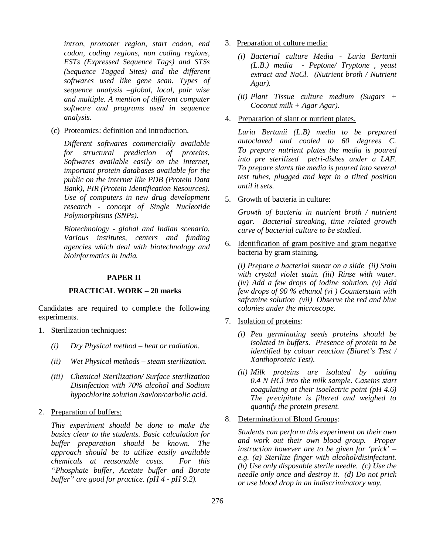*intron, promoter region, start codon, end codon, coding regions, non coding regions, ESTs (Expressed Sequence Tags) and STSs (Sequence Tagged Sites) and the different softwares used like gene scan. Types of sequence analysis –global, local, pair wise and multiple. A mention of different computer software and programs used in sequence analysis.*

(c) Proteomics: definition and introduction.

*Different softwares commercially available for structural prediction of proteins. Softwares available easily on the internet, important protein databases available for the public on the internet like PDB (Protein Data Bank), PIR (Protein Identification Resources). Use of computers in new drug development research - concept of Single Nucleotide Polymorphisms (SNPs).* 

*Biotechnology - global and Indian scenario. Various institutes, centers and funding agencies which deal with biotechnology and bioinformatics in India.*

# **PAPER II**

# **PRACTICAL WORK – 20 marks**

Candidates are required to complete the following experiments.

- 1. Sterilization techniques:
	- *(i) Dry Physical method heat or radiation.*
	- *(ii) Wet Physical methods steam sterilization.*
	- *(iii) Chemical Sterilization/ Surface sterilization Disinfection with 70% alcohol and Sodium hypochlorite solution /savlon/carbolic acid.*
- 2. Preparation of buffers:

*This experiment should be done to make the basics clear to the students. Basic calculation for buffer preparation should be known. The approach should be to utilize easily available chemicals at reasonable costs. For this "Phosphate buffer, Acetate buffer and Borate buffer" are good for practice. (pH 4 - pH 9.2).*

- 3. Preparation of culture media:
	- *(i) Bacterial culture Media Luria Bertanii (L.B.) media - Peptone/ Tryptone , yeast extract and NaCl. (Nutrient broth / Nutrient Agar).*
	- *(ii) Plant Tissue culture medium (Sugars + Coconut milk + Agar Agar).*
- 4. Preparation of slant or nutrient plates.

*Luria Bertanii (L.B) media to be prepared autoclaved and cooled to 60 degrees C. To prepare nutrient plates the media is poured into pre sterilized petri-dishes under a LAF. To prepare slants the media is poured into several test tubes, plugged and kept in a tilted position until it sets.*

5. Growth of bacteria in culture:

*Growth of bacteria in nutrient broth / nutrient agar. Bacterial streaking, time related growth curve of bacterial culture to be studied.*

6. Identification of gram positive and gram negative bacteria by gram staining.

*(i) Prepare a bacterial smear on a slide (ii) Stain with crystal violet stain. (iii) Rinse with water. (iv) Add a few drops of iodine solution. (v) Add few drops of 90 % ethanol (vi ) Counterstain with safranine solution (vii) Observe the red and blue colonies under the microscope.*

- 7. Isolation of proteins:
	- *(i) Pea germinating seeds proteins should be isolated in buffers. Presence of protein to be identified by colour reaction (Biuret's Test / Xanthoproteic Test).*
	- *(ii) Milk proteins are isolated by adding 0.4 N HCl into the milk sample. Caseins start coagulating at their isoelectric point (pH 4.6) The precipitate is filtered and weighed to quantify the protein present.*

#### 8. Determination of Blood Groups:

*Students can perform this experiment on their own and work out their own blood group. Proper instruction however are to be given for 'prick' – e.g. (a) Sterilize finger with alcohol/disinfectant. (b) Use only disposable sterile needle. (c) Use the needle only once and destroy it. (d) Do not prick or use blood drop in an indiscriminatory way.*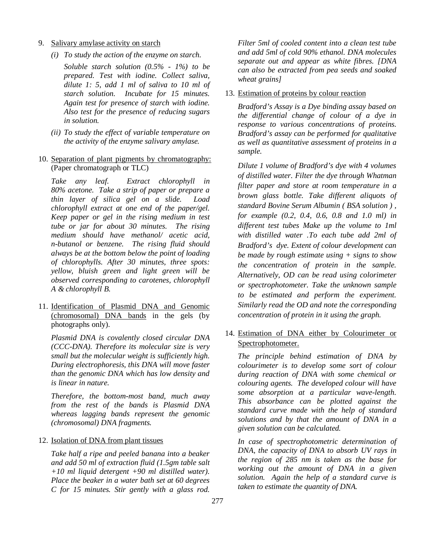- 9. Salivary amylase activity on starch
	- *(i) To study the action of the enzyme on starch.*

*Soluble starch solution (0.5% - 1%) to be prepared. Test with iodine. Collect saliva, dilute 1: 5, add 1 ml of saliva to 10 ml of starch solution. Incubate for 15 minutes. Again test for presence of starch with iodine. Also test for the presence of reducing sugars in solution.* 

- *(ii) To study the effect of variable temperature on the activity of the enzyme salivary amylase.*
- 10. Separation of plant pigments by chromatography: (Paper chromatograph or TLC)

*Take any leaf. Extract chlorophyll in 80% acetone. Take a strip of paper or prepare a thin layer of silica gel on a slide. Load chlorophyll extract at one end of the paper/gel. Keep paper or gel in the rising medium in test tube or jar for about 30 minutes. The rising medium should have methanol/ acetic acid, n-butanol or benzene. The rising fluid should always be at the bottom below the point of loading of chlorophylls. After 30 minutes, three spots: yellow, bluish green and light green will be observed corresponding to carotenes, chlorophyll A & chlorophyll B.*

11. Identification of Plasmid DNA and Genomic (chromosomal) DNA bands in the gels (by photographs only).

*Plasmid DNA is covalently closed circular DNA (CCC-DNA). Therefore its molecular size is very small but the molecular weight is sufficiently high. During electrophoresis, this DNA will move faster than the genomic DNA which has low density and is linear in nature.*

*Therefore, the bottom-most band, much away from the rest of the bands is Plasmid DNA whereas lagging bands represent the genomic (chromosomal) DNA fragments.*

12. Isolation of DNA from plant tissues

*Take half a ripe and peeled banana into a beaker and add 50 ml of extraction fluid (1.5gm table salt +10 ml liquid detergent +90 ml distilled water). Place the beaker in a water bath set at 60 degrees C for 15 minutes. Stir gently with a glass rod.*  *Filter 5ml of cooled content into a clean test tube and add 5ml of cold 90% ethanol. DNA molecules separate out and appear as white fibres. [DNA can also be extracted from pea seeds and soaked wheat grains]*

# 13. Estimation of proteins by colour reaction

*Bradford's Assay is a Dye binding assay based on the differential change of colour of a dye in response to various concentrations of proteins. Bradford's assay can be performed for qualitative as well as quantitative assessment of proteins in a sample.* 

*Dilute 1 volume of Bradford's dye with 4 volumes of distilled water. Filter the dye through Whatman filter paper and store at room temperature in a brown glass bottle. Take different aliquots of standard Bovine Serum Albumin ( BSA solution ) , for example (0.2, 0.4, 0.6, 0.8 and 1.0 ml) in different test tubes Make up the volume to 1ml with distilled water .To each tube add 2ml of Bradford's dye. Extent of colour development can be made by rough estimate using + signs to show the concentration of protein in the sample. Alternatively, OD can be read using colorimeter or spectrophotometer. Take the unknown sample to be estimated and perform the experiment. Similarly read the OD and note the corresponding concentration of protein in it using the graph.*

14. Estimation of DNA either by Colourimeter or Spectrophotometer.

*The principle behind estimation of DNA by colourimeter is to develop some sort of colour during reaction of DNA with some chemical or colouring agents. The developed colour will have some absorption at a particular wave-length. This absorbance can be plotted against the standard curve made with the help of standard solutions and by that the amount of DNA in a given solution can be calculated.*

*In case of spectrophotometric determination of DNA, the capacity of DNA to absorb UV rays in the region of 285 nm is taken as the base for working out the amount of DNA in a given solution. Again the help of a standard curve is taken to estimate the quantity of DNA.*